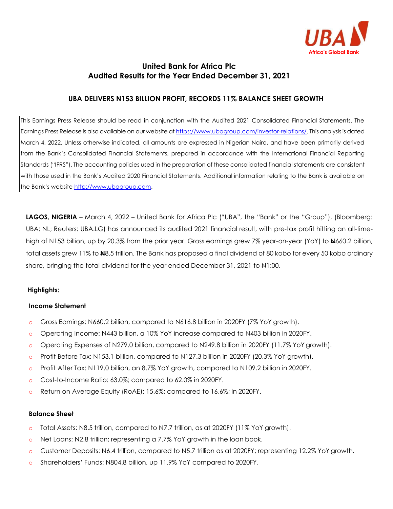

# **United Bank for Africa Plc Audited Results for the Year Ended December 31, 2021**

### **UBA DELIVERS N153 BILLION PROFIT, RECORDS 11% BALANCE SHEET GROWTH**

This Earnings Press Release should be read in conjunction with the Audited 2021 Consolidated Financial Statements. The Earnings Press Release is also available on our website a[t https://www.ubagroup.com/investor-relations/.](https://www.ubagroup.com/investor-relations/) This analysis is dated March 4, 2022. Unless otherwise indicated, all amounts are expressed in Nigerian Naira, and have been primarily derived from the Bank's Consolidated Financial Statements, prepared in accordance with the International Financial Reporting Standards ("IFRS"). The accounting policies used in the preparation of these consolidated financial statements are consistent with those used in the Bank's Audited 2020 Financial Statements. Additional information relating to the Bank is available on the Bank's website [http://www.ubagroup.com.](http://www.ubagroup.com/)

**LAGOS, NIGERIA** – March 4, 2022 – United Bank for Africa Plc ("UBA", the "Bank" or the "Group"), (Bloomberg: UBA: NL; Reuters: UBA.LG) has announced its audited 2021 financial result, with pre-tax profit hitting an all-timehigh of N153 billion, up by 20.3% from the prior year. Gross earnings grew 7% year-on-year (YoY) to  $\frac{1}{660}$  billion, total assets grew 11% to **N**8.5 trillion. The Bank has proposed a final dividend of 80 kobo for every 50 kobo ordinary share, bringing the total dividend for the year ended December 31, 2021 to N1:00.

#### **Highlights:**

#### **Income Statement**

- o Gross Earnings: N660.2 billion, compared to N616.8 billion in 2020FY (7% YoY growth).
- o Operating Income: N443 billion, a 10% YoY increase compared to N403 billion in 2020FY.
- o Operating Expenses of N279.0 billion, compared to N249.8 billion in 2020FY (11.7% YoY growth).
- o Profit Before Tax: N153.1 billion, compared to N127.3 billion in 2020FY (20.3% YoY growth).
- o Profit After Tax: N119.0 billion, an 8.7% YoY growth, compared to N109.2 billion in 2020FY.
- o Cost-to-Income Ratio: 63.0%; compared to 62.0% in 2020FY.
- o Return on Average Equity (RoAE): 15.6%; compared to 16.6%; in 2020FY.

### **Balance Sheet**

- o Total Assets: N8.5 trillion, compared to N7.7 trillion, as at 2020FY (11% YoY growth).
- o Net Loans: N2.8 trillion; representing a 7.7% YoY growth in the loan book.
- o Customer Deposits: N6.4 trillion, compared to N5.7 trillion as at 2020FY; representing 12.2% YoY growth.
- o Shareholders' Funds: N804.8 billion, up 11.9% YoY compared to 2020FY.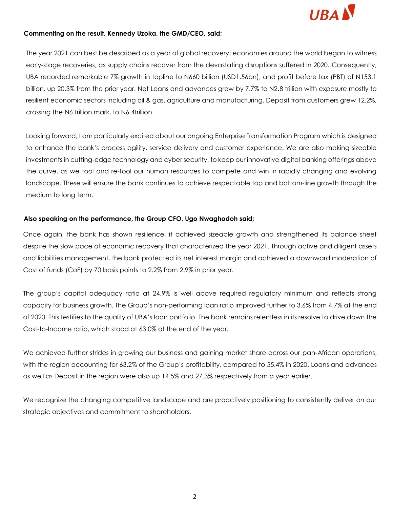

#### **Commenting on the result, Kennedy Uzoka, the GMD/CEO, said;**

The year 2021 can best be described as a year of global recovery; economies around the world began to witness early-stage recoveries, as supply chains recover from the devastating disruptions suffered in 2020. Consequently, UBA recorded remarkable 7% growth in topline to N660 billion (USD1.56bn), and profit before tax (PBT) of N153.1 billion, up 20.3% from the prior year. Net Loans and advances grew by 7.7% to N2.8 trillion with exposure mostly to resilient economic sectors including oil & gas, agriculture and manufacturing. Deposit from customers grew 12.2%, crossing the N6 trillion mark, to N6.4trillion.

Looking forward, I am particularly excited about our ongoing Enterprise Transformation Program which is designed to enhance the bank's process agility, service delivery and customer experience. We are also making sizeable investments in cutting-edge technology and cyber security, to keep our innovative digital banking offerings above the curve, as we tool and re-tool our human resources to compete and win in rapidly changing and evolving landscape. These will ensure the bank continues to achieve respectable top and bottom-line growth through the medium to long term.

#### **Also speaking on the performance, the Group CFO, Ugo Nwaghodoh said;**

Once again, the bank has shown resilience, it achieved sizeable growth and strengthened its balance sheet despite the slow pace of economic recovery that characterized the year 2021. Through active and diligent assets and liabilities management, the bank protected its net interest margin and achieved a downward moderation of Cost of funds (CoF) by 70 basis points to 2.2% from 2.9% in prior year.

The group's capital adequacy ratio at 24.9% is well above required regulatory minimum and reflects strong capacity for business growth. The Group's non-performing loan ratio improved further to 3.6% from 4.7% at the end of 2020. This testifies to the quality of UBA's loan portfolio. The bank remains relentless in its resolve to drive down the Cost-to-Income ratio, which stood at 63.0% at the end of the year.

We achieved further strides in growing our business and gaining market share across our pan-African operations, with the region accounting for 63.2% of the Group's profitability, compared to 55.4% in 2020. Loans and advances as well as Deposit in the region were also up 14.5% and 27.3% respectively from a year earlier.

We recognize the changing competitive landscape and are proactively positioning to consistently deliver on our strategic objectives and commitment to shareholders.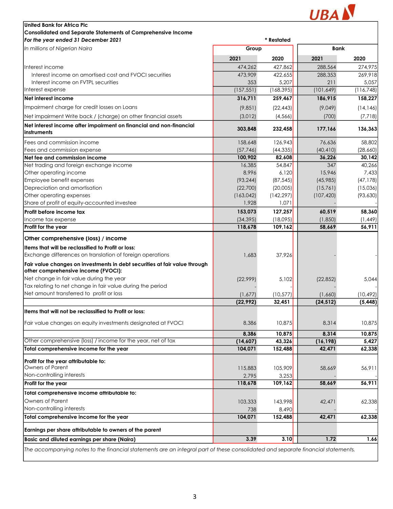

| United Bank for Africa Plc                                                                                        |            |            |            |            |
|-------------------------------------------------------------------------------------------------------------------|------------|------------|------------|------------|
| <b>Consolidated and Separate Statements of Comprehensive Income</b>                                               |            |            |            |            |
| For the year ended 31 December 2021                                                                               |            | * Restated |            |            |
| In millions of Nigerian Naira                                                                                     | Group      |            | Bank       |            |
|                                                                                                                   | 2021       | 2020       | 2021       | 2020       |
| Interest income                                                                                                   | 474,262    | 427,862    | 288,564    | 274,975    |
| Interest income on amortised cost and FVOCI securities                                                            | 473,909    | 422,655    | 288,353    | 269,918    |
| Interest income on FVTPL securities                                                                               | 353        | 5,207      | 211        | 5,057      |
| Interest expense                                                                                                  | (157, 551) | (168, 395) | (101, 649) | (116, 748) |
| Net interest income                                                                                               | 316,711    | 259,467    | 186,915    | 158,227    |
| Impairment charge for credit losses on Loans                                                                      | (9,851)    | (22, 443)  | (9,049)    | (14, 146)  |
| Net impairment Write back / (charge) on other financial assets                                                    | (3,012)    | (4, 566)   | (700)      | (7, 718)   |
| Net interest income after impairment on financial and non-financial                                               | 303,848    | 232,458    | 177,166    | 136,363    |
| instruments                                                                                                       |            |            |            |            |
| Fees and commission income                                                                                        | 158,648    | 126,943    | 76,636     | 58,802     |
| Fees and commission expense                                                                                       | (57, 746)  | (44, 335)  | (40, 410)  | (28,660)   |
| Net fee and commission income                                                                                     | 100,902    | 82,608     | 36,226     | 30,142     |
| Net trading and foreign exchange income                                                                           | 16,385     | 54,847     | 347        | 40,266     |
| Other operating income                                                                                            | 8,996      | 6,120      | 15,946     | 7,433      |
| Employee benefit expenses                                                                                         | (93, 244)  | (87, 545)  | (45,985)   | (47, 178)  |
| Depreciation and amortisation                                                                                     | (22,700)   | (20,005)   | (15,761)   | (15,036)   |
| Other operating expenses                                                                                          | (163, 042) | (142, 297) | (107, 420) | (93, 630)  |
| Share of profit of equity-accounted investee                                                                      | 1,928      | 1,071      |            |            |
| Profit before income tax                                                                                          | 153,073    | 127,257    | 60,519     | 58,360     |
| Income tax expense                                                                                                | (34, 395)  | (18,095)   | (1,850)    | (1, 449)   |
| Profit for the year                                                                                               | 118,678    | 109,162    | 58,669     | 56,911     |
| Other comprehensive (loss) / income                                                                               |            |            |            |            |
| Items that will be reclassified to Profit or loss:                                                                |            |            |            |            |
| Exchange differences on translation of foreign operations                                                         | 1,683      | 37,926     |            |            |
| Fair value changes on investments in debt securities at fair value through<br>other comprehensive income (FVOCI): |            |            |            |            |
| Net change in fair value during the year                                                                          | (22,999)   | 5,102      | (22, 852)  | 5,044      |
| Tax relating to net change in fair value during the period                                                        |            |            |            |            |
| Net amount transferred to profit or loss                                                                          | (1,677)    | (10, 577)  | (1,660)    | (10, 492)  |
|                                                                                                                   | (22, 992)  | 32,451     | (24, 512)  | (5, 448)   |
| Items that will not be reclassified to Profit or loss:                                                            |            |            |            |            |
|                                                                                                                   |            |            |            |            |
| Fair value changes on equity investments designated at FVOCI                                                      | 8,386      | 10,875     | 8.314      | 10,875     |
|                                                                                                                   | 8.386      | 10,875     | 8,314      | 10,875     |
| Other comprehensive (loss) / income for the year, net of tax                                                      | (14,607)   | 43,326     | (16, 198)  | 5,427      |
| Total comprehensive income for the year                                                                           | 104,071    | 152,488    | 42,471     | 62,338     |
| Profit for the year attributable to:                                                                              |            |            |            |            |
| Owners of Parent                                                                                                  | 115,883    | 105,909    | 58,669     | 56,911     |
| Non-controlling interests                                                                                         | 2,795      | 3,253      |            |            |
| Profit for the year                                                                                               | 118,678    | 109,162    | 58,669     | 56,911     |
| Total comprehensive income attributable to:                                                                       |            |            |            |            |
| Owners of Parent                                                                                                  | 103,333    | 143,998    | 42,471     | 62,338     |
| Non-controlling interests                                                                                         | 738        | 8,490      |            |            |
| Total comprehensive income for the year                                                                           | 104,071    | 152,488    | 42,471     | 62,338     |
|                                                                                                                   |            |            |            |            |
| Earnings per share attributable to owners of the parent                                                           |            |            |            |            |
| Basic and diluted earnings per share (Naira)                                                                      | 3.39       | 3.10       | 1.72       | 1.66       |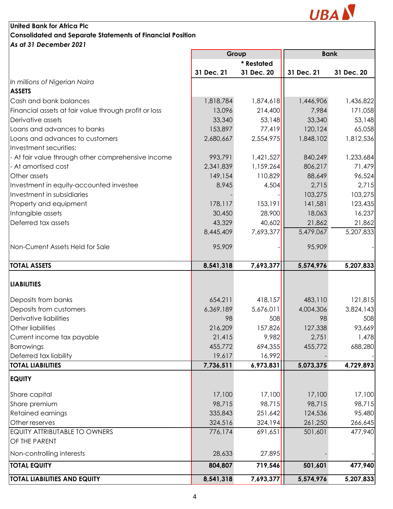

## **United Bank for Africa Plc Consolidated and Separate Statements of Financial Position** *As at 31 December 2021*

|                                                       |            | Group      |            | <b>Bank</b> |  |
|-------------------------------------------------------|------------|------------|------------|-------------|--|
|                                                       |            | * Restated |            |             |  |
|                                                       | 31 Dec. 21 | 31 Dec. 20 | 31 Dec. 21 | 31 Dec. 20  |  |
| In millions of Nigerian Naira                         |            |            |            |             |  |
| <b>ASSETS</b>                                         |            |            |            |             |  |
| Cash and bank balances                                | 1,818,784  | 1,874,618  | 1,446,906  | 1,436,822   |  |
| Financial assets at fair value through profit or loss | 13,096     | 214,400    | 7,984      | 171,058     |  |
| Derivative assets                                     | 33,340     | 53,148     | 33,340     | 53,148      |  |
| Loans and advances to banks                           | 153,897    | 77,419     | 120,124    | 65,058      |  |
| Loans and advances to customers                       | 2,680,667  | 2,554,975  | 1,848,102  | 1,812,536   |  |
| Investment securities:                                |            |            |            |             |  |
| - At fair value through other comprehensive income    | 993,791    | 1,421,527  | 840,249    | 1,233,684   |  |
| - At amortised cost                                   | 2,341,839  | 1,159,264  | 806,217    | 71,479      |  |
| Other assets                                          | 149,154    | 110,829    | 88,649     | 96,524      |  |
| Investment in equity-accounted investee               | 8,945      | 4,504      | 2,715      | 2,715       |  |
| Investment in subsidiaries                            |            |            | 103,275    | 103,275     |  |
| Property and equipment                                | 178,117    | 153,191    | 141,581    | 123,435     |  |
| Intangible assets                                     | 30,450     | 28,900     | 18,063     | 16,237      |  |
| Deferred tax assets                                   | 43,329     | 40,602     | 21,862     | 21,862      |  |
|                                                       | 8,445,409  | 7,693,377  | 5,479,067  | 5,207,833   |  |
| Non-Current Assets Held for Sale                      | 95,909     |            | 95,909     |             |  |
|                                                       |            |            |            |             |  |
| <b>TOTAL ASSETS</b>                                   | 8,541,318  | 7,693,377  | 5,574,976  | 5,207,833   |  |
|                                                       |            |            |            |             |  |
| <b>LIABILITIES</b>                                    |            |            |            |             |  |
| Deposits from banks                                   | 654,211    | 418,157    | 483,110    | 121,815     |  |
| Deposits from customers                               | 6,369,189  | 5,676,011  | 4,004,306  | 3,824,143   |  |
| Derivative liabilities                                | 98         | 508        | 98         | 508         |  |
| Other liabilities                                     | 216,209    | 157,826    | 127,338    | 93,669      |  |
| Current income tax payable                            | 21,415     | 9,982      | 2,751      | 1,478       |  |
| <b>Borrowings</b>                                     | 455,772    | 694,355    | 455,772    | 688,280     |  |
| Deferred tax liability                                | 19,617     | 16,992     |            |             |  |
| <b>TOTAL LIABILITIES</b>                              | 7,736,511  | 6,973,831  | 5,073,375  | 4,729,893   |  |
| <b>EQUITY</b>                                         |            |            |            |             |  |
| Share capital                                         | 17,100     | 17,100     | 17,100     | 17,100      |  |
| Share premium                                         | 98,715     | 98,715     | 98,715     | 98,715      |  |
| Retained earnings                                     | 335,843    | 251,642    | 124,536    | 95,480      |  |
| Other reserves                                        | 324,516    | 324,194    | 261,250    | 266,645     |  |
| EQUITY ATTRIBUTABLE TO OWNERS                         | 776,174    | 691,651    | 501,601    | 477,940     |  |
| OF THE PARENT                                         |            |            |            |             |  |
| Non-controlling interests                             | 28,633     | 27,895     |            |             |  |
| <b>TOTAL EQUITY</b>                                   | 804,807    | 719,546    | 501,601    | 477,940     |  |
|                                                       |            |            |            |             |  |
| <b>TOTAL LIABILITIES AND EQUITY</b>                   | 8,541,318  | 7,693,377  | 5,574,976  | 5,207,833   |  |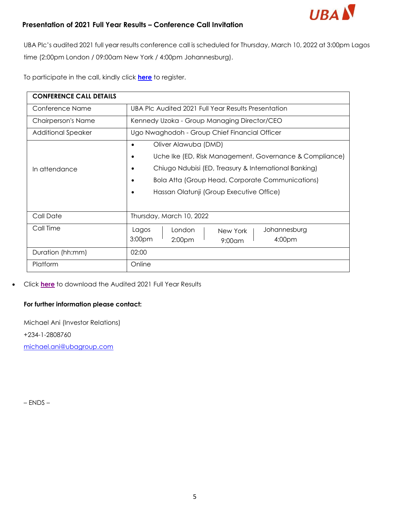

# **Presentation of 2021 Full Year Results – Conference Call Invitation**

UBA Plc's audited 2021 full year results conference call is scheduled for Thursday, March 10, 2022 at 3:00pm Lagos time (2:00pm London / 09:00am New York / 4:00pm Johannesburg).

To participate in the call, kindly click **[here](https://eur03.safelinks.protection.outlook.com/?url=https%3A%2F%2Fservices.choruscall.za.com%2FDiamondPassRegistration%2Fregister%3FconfirmationNumber%3D1594063%26linkSecurityString%3D342faa9ec&data=04%7C01%7Cmichael.ani%40ubagroup.com%7C268928dbe66a4bea229e08da01c2b267%7C18f15a3fea524261b7250b0f0d1bab03%7C1%7C0%7C637824233569166276%7CUnknown%7CTWFpbGZsb3d8eyJWIjoiMC4wLjAwMDAiLCJQIjoiV2luMzIiLCJBTiI6Ik1haWwiLCJXVCI6Mn0%3D%7C0&sdata=2LoxQj1lLYhyt3OIx1D8smrE745g4XYmADV3jQurpnY%3D&reserved=0)** to register.

| <b>CONFERENCE CALL DETAILS</b> |                                                                      |  |  |  |
|--------------------------------|----------------------------------------------------------------------|--|--|--|
| Conference Name                | UBA PIc Audited 2021 Full Year Results Presentation                  |  |  |  |
| Chairperson's Name             | Kennedy Uzoka - Group Managing Director/CEO                          |  |  |  |
| <b>Additional Speaker</b>      | Ugo Nwaghodoh - Group Chief Financial Officer                        |  |  |  |
|                                | Oliver Alawuba (DMD)<br>$\bullet$                                    |  |  |  |
|                                | Uche Ike (ED, Risk Management, Governance & Compliance)<br>$\bullet$ |  |  |  |
| In attendance                  | Chiugo Ndubisi (ED, Treasury & International Banking)                |  |  |  |
|                                | <b>Bola Atta (Group Head, Corporate Communications)</b>              |  |  |  |
|                                | Hassan Olatunji (Group Executive Office)                             |  |  |  |
|                                |                                                                      |  |  |  |
| Call Date                      | Thursday, March 10, 2022                                             |  |  |  |
| Call Time                      | Lagos<br>Johannesburg<br>London<br>New York                          |  |  |  |
|                                | 3:00 <sub>pm</sub><br>4:00pm<br>2:00 <sub>pm</sub><br>$9:00$ am      |  |  |  |
| Duration (hh:mm)               | 02:00                                                                |  |  |  |
| Platform                       | Online                                                               |  |  |  |

### • Click **[here](https://www.ubagroup.com/wp-content/uploads/2022/01/UBA-plc-2021-annual-report-and-account.pdf)** to download the Audited 2021 Full Year Results

# **For further information please contact:**

Michael Ani (Investor Relations) +234-1-2808760 [michael.ani@ubagroup.com](mailto:michael.ani@ubagroup.com)

– ENDS –